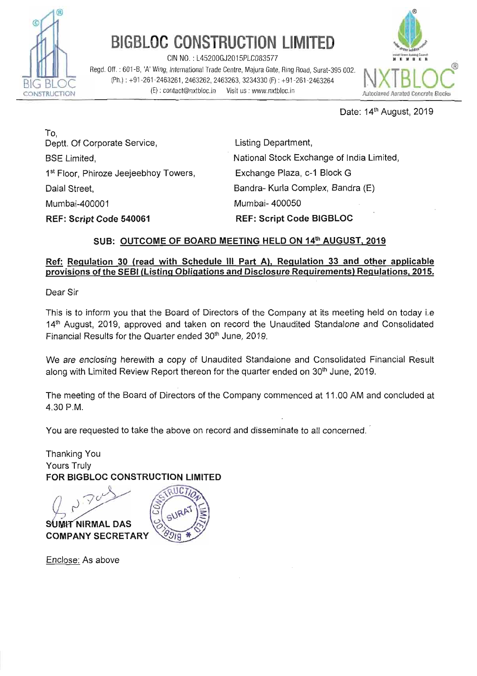

# BIGBLOC CONSTRUCTION LIMITED

 $CIN NO. : L45200GJ2015PLC083577$ 

CIN NO. : L45200GJ2015PLC083577<br>
Regd. Off. : 601-B, 'A' Wing, International Trade Centre, Majura Gate, Ring Road, Surat-395 002.<br>
(Ph.) : +91-261-2463261, 2463262, 2463263, 3234330 (F) : +91-261-2463264<br>
CONSTRUCTION (E)



Date: 14<sup>th</sup> August, 2019

To. Deptt. Of Corporate Service, BSE Limited, 1<sup>st</sup> Floor, Phiroze Jeejeebhoy Towers, Dalal Street, Mumbai-400001 **REF: Script Code fi40061** 

Listing Department, National Stock Exchange of India Limited, Exchange Plaza, c-I Block G Bandra- Kurla Complex, Bandra (E) Mumbai- 400050 **REF: Script Code BIGBLOC** 

# **SUB: OUTCOME OF BOARD MEETING HELD ON 14'h AUGUST, 2019**

# REF: Script Code BIGBLOC<br>SUB: <u>OUTCOME OF BOARD MEETING HELD ON 14<sup>th</sup> AUGUST, 2019</u><br>Ref: Regulation 30 (read with Schedule III Part A), Regulation 33 and other applicable<br>provisions of the SEBI (Listing Obligations and Di

Dear Sir

This is to inform you that the Board of Directors of the Company at its meeting held on today i.e 14<sup>th</sup> August, 2019, approved and taken on record the Unaudited Standalone and Consolidated Financial Results for the Quarter ended 30<sup>th</sup> June, 2019.

We are enclosing herewith a copy of Unaudited Standalone and Consolidated Financial Result along with Limited Review Report thereon for the quarter ended on 30<sup>th</sup> June, 2019.

The meeting of the Board of Directors of the Company commenced at 11 .OO AM and concluded at 4.30 P.M.

You are requested to take the above on record and disseminate to all concerned.

Thanking You Yours Truly **FOR BIGBLOC CONSTRUCTION LIMITED** 

**SUMIT NIRMAL DAS COMPANY SECRETARY** 

**B** 

Enclose: As above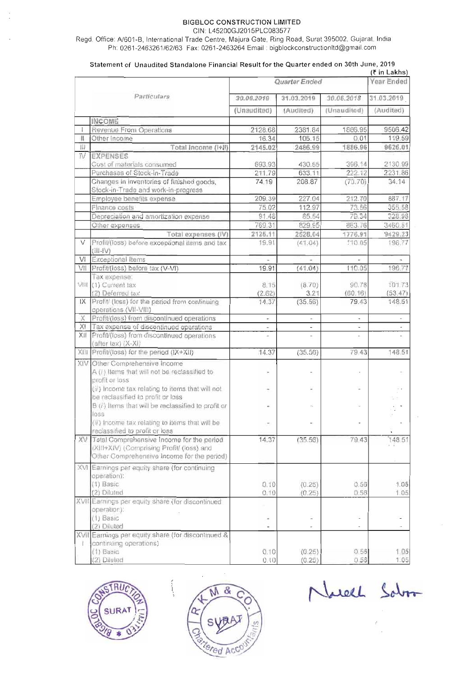#### **BIGBLOC CONSTRUCTION LIMITED**

**CIN: L45200GJ2015PLCO83577** 

**Regd. Office: N601-B, International Trade Centre, Majura Gate, Ring Road, Surat 395002, Gujarat, India Ph: 0261-2463261162163 Fax: 0261-2463264 Email** : **bigblockconstructionItd@gmail.com** 

#### **Statement of Unaudited Standalone Financial Result for the Quarter ended on 30th June, 2019**

| Quarter Ended<br>Particulars<br>30.06.2018<br>30.06.2019<br>31.03.2019<br>(Audited)<br>(Unaudited)<br>(Unaudited)<br><b>INCOME</b><br>Revenue From Operations<br>2128.68<br>2381.84<br>1886.95<br>16.34<br>105.15<br>0.01<br>Other Income<br>Ш<br>Ш<br>Total Income (I+II)<br>2145.02<br>2486.99<br>1886.96<br>N<br><b>EXPENSES</b><br>Cost of materials consumed<br>396.14<br>693,93<br>430.65 | <b>Year Ended</b><br>31.03.2019<br>(Audited)<br>9506.42<br>119.59<br>9626.01<br>2130.99<br>2231.86<br>34.14 |
|-------------------------------------------------------------------------------------------------------------------------------------------------------------------------------------------------------------------------------------------------------------------------------------------------------------------------------------------------------------------------------------------------|-------------------------------------------------------------------------------------------------------------|
|                                                                                                                                                                                                                                                                                                                                                                                                 |                                                                                                             |
|                                                                                                                                                                                                                                                                                                                                                                                                 |                                                                                                             |
|                                                                                                                                                                                                                                                                                                                                                                                                 |                                                                                                             |
|                                                                                                                                                                                                                                                                                                                                                                                                 |                                                                                                             |
|                                                                                                                                                                                                                                                                                                                                                                                                 |                                                                                                             |
|                                                                                                                                                                                                                                                                                                                                                                                                 |                                                                                                             |
|                                                                                                                                                                                                                                                                                                                                                                                                 |                                                                                                             |
|                                                                                                                                                                                                                                                                                                                                                                                                 |                                                                                                             |
|                                                                                                                                                                                                                                                                                                                                                                                                 |                                                                                                             |
| 222.12<br>Purchases of Stock-in-Trade<br>211.79<br>633.11                                                                                                                                                                                                                                                                                                                                       |                                                                                                             |
| Changes in inventories of finished goods,<br>74.19<br>208.87<br>(70.70)<br>Stock-in-Trade and work-in-progress                                                                                                                                                                                                                                                                                  |                                                                                                             |
| 209.39<br>227.04<br>212.70<br>Employee benefits expense                                                                                                                                                                                                                                                                                                                                         | 887.17                                                                                                      |
| 75.02<br>112.97<br>73.56<br>Finance costs                                                                                                                                                                                                                                                                                                                                                       | 355.58                                                                                                      |
| 85.54<br>79.34<br>Depreciation and amortization expense<br>91.48                                                                                                                                                                                                                                                                                                                                | 328.98                                                                                                      |
| 863.76<br>769.31<br>829.95<br>Other expenses                                                                                                                                                                                                                                                                                                                                                    | 3460.51                                                                                                     |
| 2125.11<br>2528.04<br>1776.91<br>Total expenses (IV)                                                                                                                                                                                                                                                                                                                                            | 9429.23                                                                                                     |
| Profit/(loss) before exceptional items and tax<br>19.91<br>(41.04)<br>110 05<br>V<br>$(U\rightarrow U)$                                                                                                                                                                                                                                                                                         | 196.77                                                                                                      |
| Exceptional Items<br>M<br>×                                                                                                                                                                                                                                                                                                                                                                     |                                                                                                             |
| VII<br>Profit/(loss) before tax (V-VI)<br>19.91<br>110.05<br>(41.04)                                                                                                                                                                                                                                                                                                                            | 196.77                                                                                                      |
| Tax expense:                                                                                                                                                                                                                                                                                                                                                                                    |                                                                                                             |
| VIII (1) Current tax<br>(8.70)<br>90.78<br>8.15                                                                                                                                                                                                                                                                                                                                                 | 101.73                                                                                                      |
| (60.16)<br>(2) Deferred tax<br>(2.62)<br>3.21                                                                                                                                                                                                                                                                                                                                                   | (53.47)                                                                                                     |
| Profit/ (loss) for the period from continuing<br>14.37<br>(35.56)<br>79.43<br>IX<br>operations (VII-VIII)                                                                                                                                                                                                                                                                                       | 148.51                                                                                                      |
| Profit/(loss) from discontinued operations<br>X<br>ı.<br>$\tilde{\phantom{a}}$                                                                                                                                                                                                                                                                                                                  | $\overline{\phantom{a}}$                                                                                    |
| Tax expense of discontinued operations<br>XI<br>÷,                                                                                                                                                                                                                                                                                                                                              |                                                                                                             |
| XII<br>Profit/(loss) from discontinued operations<br>$\overline{a}$<br>$\overline{a}$<br>ç.<br>(after tax) (X-XI)                                                                                                                                                                                                                                                                               |                                                                                                             |
| Profit/(loss) for the period (IX+XII)<br>14.37<br>(35.56)<br>79.43<br>XIII                                                                                                                                                                                                                                                                                                                      | 148.51                                                                                                      |
| XIV Other Comprehensive Income<br>A (i) Items that will not be reclassified to                                                                                                                                                                                                                                                                                                                  |                                                                                                             |
| profit or loss<br>(ii) Income tax relating to items that will not<br>be reclassified to profit or loss                                                                                                                                                                                                                                                                                          |                                                                                                             |
| B (i) Items that will be reclassified to profit or<br>loss                                                                                                                                                                                                                                                                                                                                      |                                                                                                             |
| (ii) Income tax relating to items that will be<br>$\mathcal{F}_1$<br>reclassified to profit or loss                                                                                                                                                                                                                                                                                             |                                                                                                             |
| XV Total Comprehensive Income for the period<br>14.37<br>(35.56)<br>79.43<br>(XIII+XIV) (Comprising Profit/ (loss) and<br>Other Comprehensive Income for the period)                                                                                                                                                                                                                            | 148.51                                                                                                      |
| XVI Earnings per equity share (for continuing<br>operation):                                                                                                                                                                                                                                                                                                                                    |                                                                                                             |
| (1) Basic<br>0.10<br>(0.25)<br>0.56                                                                                                                                                                                                                                                                                                                                                             | 1.05                                                                                                        |
| (2) Diluted<br>0.10<br>0.56<br>(0.25)                                                                                                                                                                                                                                                                                                                                                           | 1.05                                                                                                        |
| XVII Earnings per equity share (for discontinued                                                                                                                                                                                                                                                                                                                                                |                                                                                                             |
| operation):                                                                                                                                                                                                                                                                                                                                                                                     |                                                                                                             |
| (1) Basic<br>×,<br>(2) Diluted                                                                                                                                                                                                                                                                                                                                                                  |                                                                                                             |
| $\overline{\phantom{a}}$<br>٠<br>XVII Earnings per equity share (for discontinued &                                                                                                                                                                                                                                                                                                             | ÷                                                                                                           |
| continuing operations)<br>T.                                                                                                                                                                                                                                                                                                                                                                    |                                                                                                             |
| (1) Basic<br>0.10<br>(0.25)<br>0.56                                                                                                                                                                                                                                                                                                                                                             | 1.05                                                                                                        |
| 0.56<br>(2) Diluted<br>0.10<br>(0.25)                                                                                                                                                                                                                                                                                                                                                           | 1.05                                                                                                        |



 $\alpha$ ered Ac

Narell Salo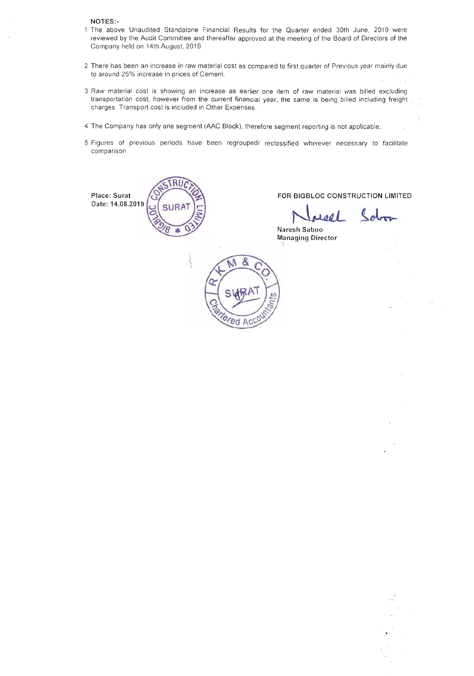NOTES:-

- 1 The above Unaudited Standalone Financial Results for the Quarter ended 30th June, 2019 were reviewed by the Audit Committee and thereafter approved at the meeting of the Board of Directors of the Company held on 14th August, 2019.
- 2 There has been an increase in raw material cost as compared to first quarter of Previous year mainly due to around 25% increase in prices of Cement.
- 3 Raw material cost is showing an increase as earlier one item of raw material was billed excluding transportation cost, however from the current financial year, the same is being billed including freight charges. Transport cost is included in Other Expenses.
- 4 The Company has only one segment **(AAC** Block), therefore segment reporting is not applicable.
- 5 Figures of previous periods have been regrouped1 reclassified wherever necessary to facilitate comparison.



2001

Naresh Saboo **Managing Director** 

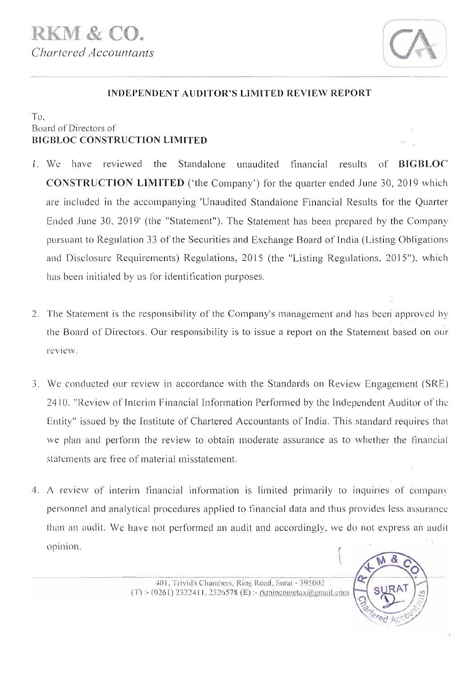

### **INDEPENDENT AUDITOR'S LIMITED REVIEW REPORT**

#### To, Board of Directors of **BIGBLOC CONSTRUCTION LIMITED**

- 1. We have reviewed the Standalone unaudited financial results of **BIGBLOC CONSTRUCTION LIMITED** ('the Company') for the quarter ended June 30,2019 which are included in the accompanying 'Unaudited Standalone Financial Results for the Quarter Ended June 30, 2019' (the "Statement"). The Statement has been prepared by the Company pursuant to Regulation 33 of the Securities and Exchange Board of India (Listing Obligations and Disclosure Requirements) Regulations, 2015 (the "Listing Regulations, 2015"), which has been initialed by us for identification purposes.
- 2. The Statement is the responsibility of the Company's management and has been approved by the Board of Directors. Our responsibility is to issue a report on the Statement based on our review.
- **3.** We conducted our review in accordance with the Standards on Review Engagement (SRE) 24 10, "Review of Interim Financial Information Performed by the Independent Auditor of the Entity" issued by the Institute of Chartered Accountants of India. This standard requires that we plan and perform the review to obtain moderate assurance as to whether the financial statements are free of material misstatement.
- 4. **A** review of interim financial information is limited primarily to inquiries of company personnel and analytical procedures applied to financial data and thus provides Jess assurance than an audit. We have not performed an audit and accordingly, we do not express an audit opinion.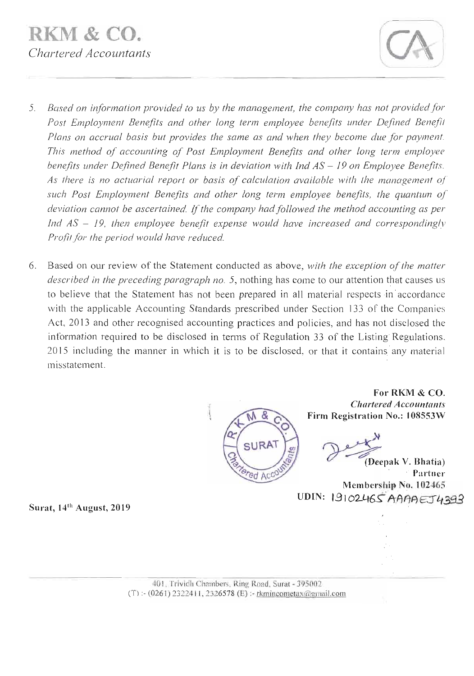

- **5.** *Based on information provided to us by the management, the company has not provided for*  Post Employment Benefits and other long term employee benefits under Defined Benefit *Plans on accrual basis but provides the same as and when they become due for payment. This method of accounting of Post Employment Benefits and other long term employee benefits under Defined Benefit Plans is in deviation with Ind AS – 19 on Employee Benefits. As there is no actuarial report or basis of calculation available with the management of such Post Employment Benefits and other long term employee benefits, the quantum of deviation cannot be ascertained.* If *the company had followed the method accounting as per Ind AS* - *19, then employee benefit expense would have increased and correspondingly Profit for the period would have reduced.*
- **6.** Based on our review of the Statement conducted as above, *with the exception of the matter described in the preceding paragraph no.* 5, nothing has come to our attention that causes us to believe that the Statement has not been prepared in all material respects in'accordance with the applicable Accounting Standards prescribed under Section 133 of the Companies Act, 2013 and other recognised accounting practices and policies, and has not disclosed the information required to be disclosed in terms of Regulation 33 of the Listing Regulations, 2015 including the manner in which it is to be disclosed, or that it contains any material misstatement.



**For RKM** & **CO.**  *Chartered Accountants*  **Firm Registration No.: 108553W**  For RKM & CO.<br>
Chartered Accountants<br>
Registration No.: 108553W<br> **(Deepak V. Bhatia)**<br>
Partner

.' **Partner Membership No. 102465**  UDIN: 19102465 AAAAEJ4393

**Surat, 14th August, 2019**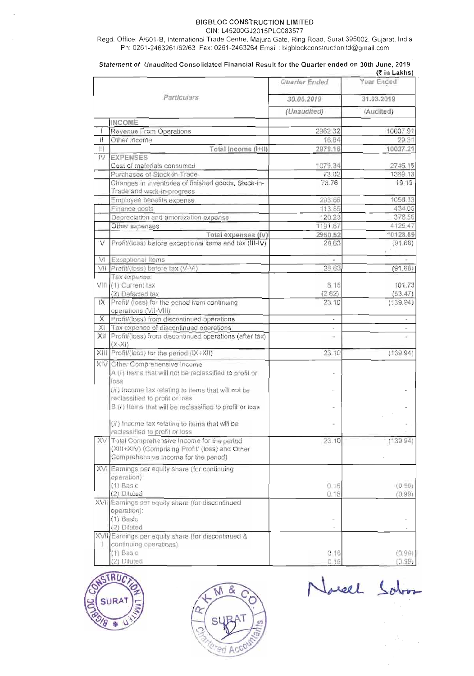#### **BIGBLOC CONSTRUCTION LIMITED**  CIN: L45200GJ2015PLCO83577

Regd. Office: A/601-B, International Trade Centre, Majura Gate, Ring Road, Surat 395002, Gujarat, India Ph: 0261-2463261/62/63 Fax: 0261-2463264 Email : bigblockconstructionItd@gmail.com

|    |                                                                        |                          | (₹ in Lakns)             |
|----|------------------------------------------------------------------------|--------------------------|--------------------------|
|    |                                                                        | Quarter Ended            | Year Ended               |
|    | Particulars                                                            | 30.06.2019               | 31.03.2019               |
|    |                                                                        | (Unaudited)              | (Audited)                |
|    | <b>INCOME</b>                                                          |                          |                          |
| Ť  | Revenue From Operations                                                | 2962.32                  | 10007.91                 |
| Ħ  | Other Income                                                           | 16.84                    | 29.31                    |
| Ш  | Total Income (I+II)                                                    | 2979.16                  | 10037.21                 |
| IV | <b>EXPENSES</b>                                                        |                          |                          |
|    | Cost of materials consumed                                             | 1079.34                  | 2746.15                  |
|    | Purchases of Stock-in-Trade                                            | 73.02                    | 1369.13                  |
|    | Changes in inventories of finished goods, Stock-in-                    | 78.76                    | 19.19                    |
|    | Trade and work-in-progress.                                            |                          |                          |
|    | Employee benefits expense                                              | 293.66                   | 1058.33                  |
|    | Finance costs                                                          | 113.85                   | 434.05                   |
|    | Depreciation and amortization expense                                  | 120.23                   | 376.56                   |
|    | Other expenses                                                         | 1191.67                  | 4125.47                  |
|    | Total expenses (IV)                                                    | 2950.52                  | 10128.89                 |
| V  | Profit/(loss) before exceptional items and tax (III-IV)                | 28.63                    | (91.68)                  |
| M  | Exceptional Items                                                      |                          |                          |
|    | VII Profit/(loss) before tax (V-VI)                                    | 28.63                    | (91.68)                  |
|    | Tax expense:                                                           |                          |                          |
|    | VIII (1) Current tax                                                   | 8.15                     | 101.73                   |
|    | (2) Deferred lax                                                       | (2.62)                   | (53.47)                  |
|    | IX Profit/ (loss) for the period from continuing                       | 23.10                    | (139.94)                 |
|    | operations (VII-VIII)                                                  |                          |                          |
| X  | Profit/(loss) from discontinued operations                             | $\overline{\phantom{a}}$ | $\overline{\phantom{0}}$ |
| ХI | Tax expense of discontinued operations                                 |                          |                          |
|    | XII Profit/(loss) from discontinued operations (after tax)<br>$(X-XI)$ | u,                       |                          |
|    | XIII Profit/(loss) for the period (IX+XII)                             | 23 10                    | (139.94)                 |
|    | XIV Other Comprehensive Income                                         |                          |                          |
|    | A (i) Items that will not be reclassified to profit or                 |                          |                          |
|    | loss                                                                   |                          |                          |
|    | (ii) Income tax relating to items that will not be                     |                          |                          |
|    | reclassified to profit or loss                                         |                          |                          |
|    | B (i) Items that will be reclassified to profit or loss                |                          |                          |
|    |                                                                        |                          |                          |
|    | (ii) Income tax relating to items that will be                         |                          |                          |
|    | reclassified to profit or loss                                         |                          |                          |
|    | XV Total Comprehensive Income for the period                           | 23.10                    | (139.94)                 |
|    | (XIII+XIV) (Comprising Profit/ (loss) and Other                        |                          |                          |
|    | Comprehensive Income for the period)                                   |                          |                          |
|    | XVI Earnings per equity share (for continuing                          |                          |                          |
|    | operation):                                                            |                          |                          |
|    | $(1)$ Basic                                                            | 0.16                     | (0.99)                   |
|    | (2) Diluted                                                            | 0.16                     | (0.99)                   |
|    | XVII Earnings per equity share (for discontinued                       |                          |                          |
|    | operation):                                                            |                          |                          |
|    | (1) Basic                                                              |                          |                          |
|    | (2) Diluted                                                            | ٠                        | $\omega$                 |
|    | XVII Earnings per equity share (for discontinued &                     |                          |                          |
|    | continuing operations).<br>(1) Basic                                   | 0,16                     | (0.99)                   |
|    | (2) Diluted                                                            | 0.16                     | (0.99)                   |
|    |                                                                        |                          |                          |

Statement of Unaudited Consolidated Financial Result for the Quarter ended on 30th June, 2019<br>(tin Lakhs)





Norsel Salon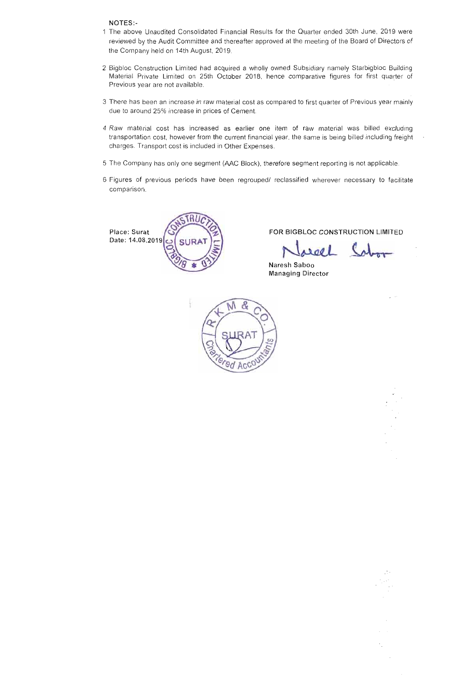NOTES:-

- 1 The above Unaudited Consolidated Financial Results for the Quarter ended 30th June, 2019 were reviewed by the Audit Committee and thereafter approved at the meeting of the Board of Directors of the Company held on 14th August, 2019.
- 2 Bigbloc Construction Limited had acquired a wholly owned Subsidiary namely Starbigbloc Building Material Private Limited on 25th October 2018, hence comparative figures for first quarter of Previous year are not available.
- 3 There has been an increase in raw material cost as compared to first quarter of Previous year mainly due to around 25% increase in prices of Cement.
- 4 Raw material cost has increased as earlier one item of raw material was billed excluding . transportation cost, however from the current financial year, the same is being billed including freight **3.**  charges. Transport cost is included in Other Expenses.
- 5 The Company has only one segment (AAC Block), therefore segment reporting is not applicable.
- 6 Figures of previous periods have been regrouped/ reclassified wherever necessary to facilitate comparison.

Date: 14.08.2019



Place: Surat GX RELOC CONSTRUCTION LIMITED

el  $\epsilon$ 

W.

Naresh Saboo Managing Director

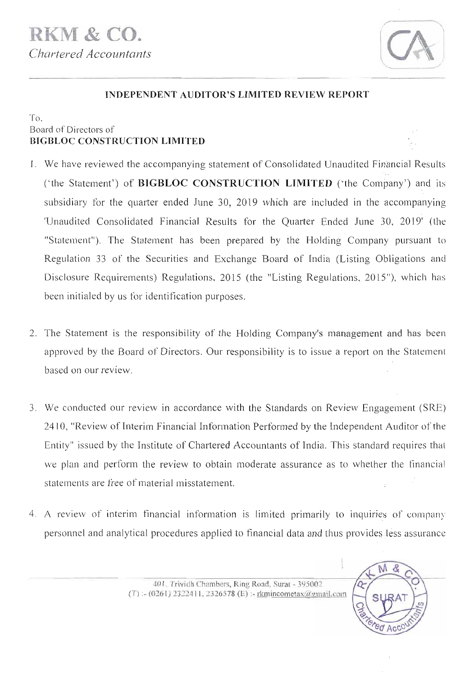

M  $\mathcal{R}$ 

# **INDEPENDENT AUDITOR'S LIMITED REVIEW REPORT**

### $To$ . Board of Directors of **BIGBLOC CONSTRUCTION LIMITED** *r.*

- 1. We have reviewed the accompanying statement of Consolidated Unaudited Financial Results ('the Statement') of **BIGBLOC CONSTRUCTION LIMITED** ('the Combany') and its subsidiary for the quarter ended June 30, 2019 which are included in the accompanying 'Unaudited Consolidated Financial Results for the Quarter Ended June 30, 2019' (the "Statement"). The Statement has been prepared by the Holding Company pursuant to Regulation 33 of the Securities and Exchange Board of India (Listing Obligations and Disclosure Requirements) Regulations, 2015 (the "Listing Regulations, 2015"), which has been initialed by us for identification purposes.
- 2. The Statement is the responsibility of the Holding Company's management and has been approved by the Board of Directors. Our responsibility is to issue a report on the Statement based on our review.
- 3. We conducted our review in accordance with the Standards on Review Engagement (SRE) 24 10, "Review of Interim Financial Information Performed by the Independent Auditor of the Entity" issued by the Institute of Chartered Accountants of India. This standard requires that we plan and perform the review to obtain moderate assurance as to whether the financial statements are free of material misstatement.
- 4. **A** review of interim financial information is limited primarily to inquiries- of company personnel and analytical procedures applied to financial data and thus provides less assurance